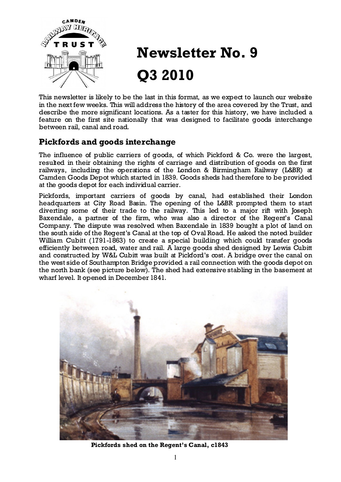

# Newsletter No. 9 Q3 2010

This newsletter is likely to be the last in this format, as we expect to launch our website in the next few weeks. This will address the history of the area covered by the Trust, and describe the more significant locations. As a taster for this history, we have included a feature on the first site nationally that was designed to facilitate goods interchange between rail, canal and road.

## Pickfords and goods interchange

The influence of public carriers of goods, of which Pickford & Co. were the largest, resulted in their obtaining the rights of carriage and distribution of goods on the first railways, including the operations of the London & Birmingham Railway (L&BR) at Camden Goods Depot which started in 1839. Goods sheds had therefore to be provided at the goods depot for each individual carrier.

Pickfords, important carriers of goods by canal, had established their London headquarters at City Road Basin. The opening of the L&BR prompted them to start diverting some of their trade to the railway. This led to a major rift with Joseph Baxendale, a partner of the firm, who was also a director of the Regent's Canal Company. The dispute was resolved when Baxendale in 1839 bought a plot of land on the south side of the Regent's Canal at the top of Oval Road. He asked the noted builder William Cubitt (1791-1863) to create a special building which could transfer goods efficiently between road, water and rail. A large goods shed designed by Lewis Cubitt and constructed by W&L Cubitt was built at Pickford's cost. A bridge over the canal on the west side of Southampton Bridge provided a rail connection with the goods depot on the north bank (see picture below). The shed had extensive stabling in the basement at wharf level. It opened in December 1841.



Pickfords shed on the Regent's Canal, c1843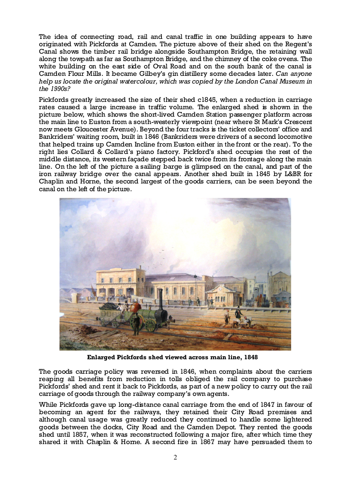The idea of connecting road, rail and canal traffic in one building appears to have originated with Pickfords at Camden. The picture above of their shed on the Regent's Canal shows the timber rail bridge alongside Southampton Bridge, the retaining wall along the towpath as far as Southampton Bridge, and the chimney of the coke ovens. The white building on the east side of Oval Road and on the south bank of the canal is Camden Flour Mills. It became Gilbey's gin distillery some decades later. Can anyone help us locate the original watercolour, which was copied by the London Canal Museum in the 1990s?

Pickfords greatly increased the size of their shed c1845, when a reduction in carriage rates caused a large increase in traffic volume. The enlarged shed is shown in the picture below, which shows the short-lived Camden Station passenger platform across the main line to Euston from a south-westerly viewpoint (near where St Mark's Crescent now meets Gloucester Avenue). Beyond the four tracks is the ticket collectors' office and Bankriders' waiting room, built in 1846 (Bankriders were drivers of a second locomotive that helped trains up Camden Incline from Euston either in the front or the rear). To the right lies Collard & Collard's piano factory. Pickford's shed occupies the rest of the middle distance, its western façade stepped back twice from its frontage along the main line. On the left of the picture a sailing barge is glimpsed on the canal, and part of the iron railway bridge over the canal appears. Another shed built in 1845 by L&BR for Chaplin and Horne, the second largest of the goods carriers, can be seen beyond the canal on the left of the picture.



Enlarged Pickfords shed viewed across main line, 1848

The goods carriage policy was reversed in 1846, when complaints about the carriers reaping all benefits from reduction in tolls obliged the rail company to purchase Pickfords' shed and rent it back to Pickfords, as part of a new policy to carry out the rail carriage of goods through the railway company's own agents.

While Pickfords gave up long-distance canal carriage from the end of 1847 in favour of becoming an agent for the railways, they retained their City Road premises and although canal usage was greatly reduced they continued to handle some lightered goods between the docks, City Road and the Camden Depot. They rented the goods shed until 1857, when it was reconstructed following a major fire, after which time they shared it with Chaplin & Horne. A second fire in 1867 may have persuaded them to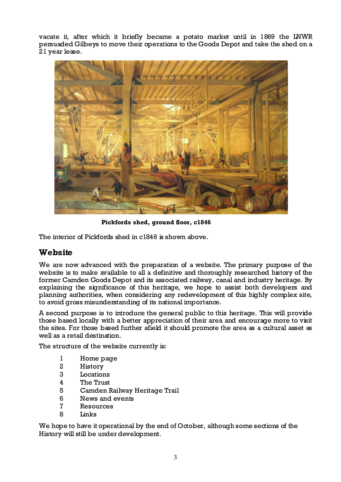vacate it, after which it briefly became a potato market until in 1869 the LNWR persuaded Gilbeys to move their operations to the Goods Depot and take the shed on a 21 year lease.



Pickfords shed, ground floor, c1846

The interior of Pickfords shed in c1846 is shown above.

## **Website**

We are now advanced with the preparation of a website. The primary purpose of the website is to make available to all a definitive and thoroughly researched history of the former Camden Goods Depot and its associated railway, canal and industry heritage. By explaining the significance of this heritage, we hope to assist both developers and planning authorities, when considering any redevelopment of this highly complex site, to avoid gross misunderstanding of its national importance.

A second purpose is to introduce the general public to this heritage. This will provide those based locally with a better appreciation of their area and encourage more to visit the sites. For those based further afield it should promote the area as a cultural asset as well as a retail destination.

The structure of the website currently is:

- 1 Home page<br>2 History
- **History**
- 3 Locations
- 4 The Trust
- 5 Camden Railway Heritage Trail
- 6 News and events
- 7 Resources
- 8 Links

We hope to have it operational by the end of October, although some sections of the History will still be under development.